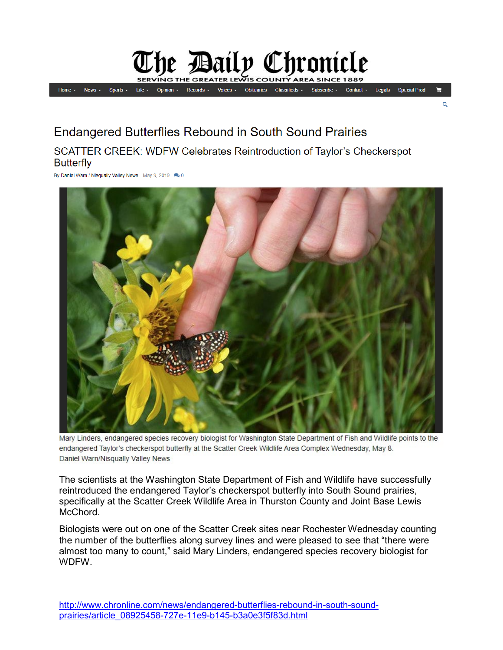## he Bailp Chronicle

**Special Prod News** Records Obituaries Classifieds Legals Home Sports  $Oninion$ Contact  $\star$ 

 $\Omega$ 

## Endangered Butterflies Rebound in South Sound Prairies

## SCATTER CREEK: WDFW Celebrates Reintroduction of Taylor's Checkerspot **Butterfly**

By Daniel Warn / Nisqually Valley News May 9, 2019 20



Mary Linders, endangered species recovery biologist for Washington State Department of Fish and Wildlife points to the endangered Taylor's checkerspot butterfly at the Scatter Creek Wildlife Area Complex Wednesday, May 8. Daniel Warn/Nisqually Valley News

The scientists at the Washington State Department of Fish and Wildlife have successfully reintroduced the endangered Taylor's checkerspot butterfly into South Sound prairies, specifically at the Scatter Creek Wildlife Area in Thurston County and Joint Base Lewis McChord.

Biologists were out on one of the Scatter Creek sites near Rochester Wednesday counting the number of the butterflies along survey lines and were pleased to see that "there were almost too many to count," said Mary Linders, endangered species recovery biologist for WDFW.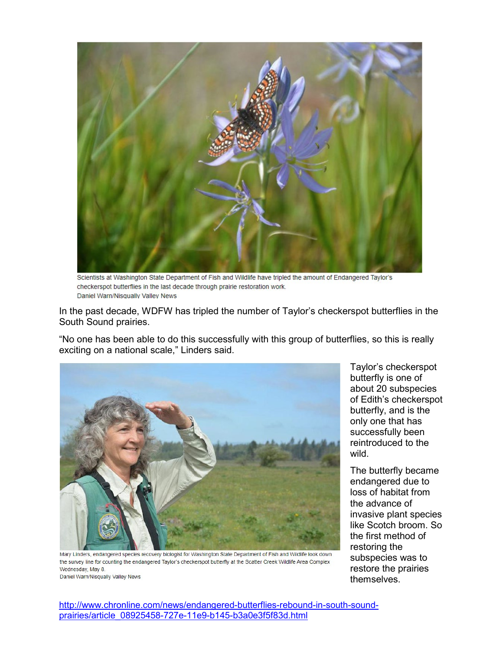

Scientists at Washington State Department of Fish and Wildlife have tripled the amount of Endangered Taylor's checkerspot butterflies in the last decade through prairie restoration work. Daniel Warn/Nisqually Valley News

In the past decade, WDFW has tripled the number of Taylor's checkerspot butterflies in the South Sound prairies.

"No one has been able to do this successfully with this group of butterflies, so this is really exciting on a national scale," Linders said.



Mary Linders, endangered species recovery biologist for Washington State Department of Fish and Wildlife look down the survey line for counting the endangered Taylor's checkerspot butterfly at the Scatter Creek Wildlife Area Complex Wednesday, May 8. Daniel Warn/Nisqually Valley News

Taylor's checkerspot butterfly is one of about 20 subspecies of Edith's checkerspot butterfly, and is the only one that has successfully been reintroduced to the wild.

The butterfly became endangered due to loss of habitat from the advance of invasive plant species like Scotch broom. So the first method of restoring the subspecies was to restore the prairies themselves.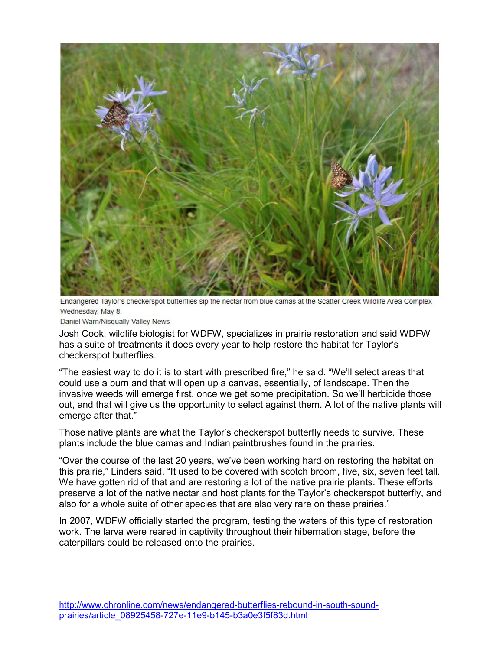

Endangered Taylor's checkerspot butterflies sip the nectar from blue camas at the Scatter Creek Wildlife Area Complex Wednesday, May 8.

Daniel Warn/Nisqually Valley News

Josh Cook, wildlife biologist for WDFW, specializes in prairie restoration and said WDFW has a suite of treatments it does every year to help restore the habitat for Taylor's checkerspot butterflies.

"The easiest way to do it is to start with prescribed fire," he said. "We'll select areas that could use a burn and that will open up a canvas, essentially, of landscape. Then the invasive weeds will emerge first, once we get some precipitation. So we'll herbicide those out, and that will give us the opportunity to select against them. A lot of the native plants will emerge after that."

Those native plants are what the Taylor's checkerspot butterfly needs to survive. These plants include the blue camas and Indian paintbrushes found in the prairies.

"Over the course of the last 20 years, we've been working hard on restoring the habitat on this prairie," Linders said. "It used to be covered with scotch broom, five, six, seven feet tall. We have gotten rid of that and are restoring a lot of the native prairie plants. These efforts preserve a lot of the native nectar and host plants for the Taylor's checkerspot butterfly, and also for a whole suite of other species that are also very rare on these prairies."

In 2007, WDFW officially started the program, testing the waters of this type of restoration work. The larva were reared in captivity throughout their hibernation stage, before the caterpillars could be released onto the prairies.